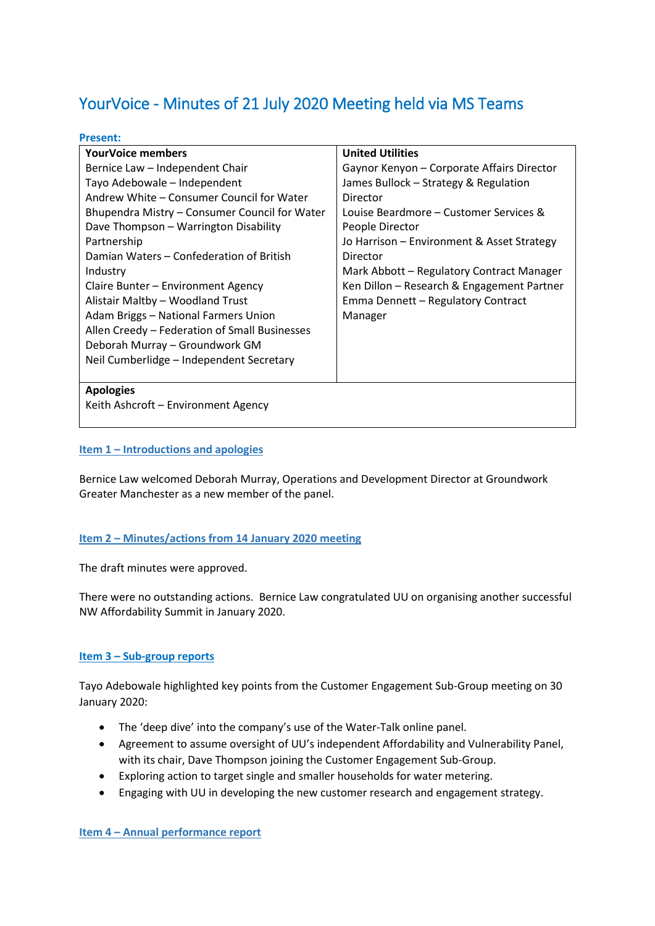# YourVoice - Minutes of 21 July 2020 Meeting held via MS Teams

# **Present:**

| <b>YourVoice members</b>                      | <b>United Utilities</b>                    |
|-----------------------------------------------|--------------------------------------------|
| Bernice Law - Independent Chair               | Gaynor Kenyon - Corporate Affairs Director |
| Tayo Adebowale - Independent                  | James Bullock - Strategy & Regulation      |
| Andrew White – Consumer Council for Water     | Director                                   |
| Bhupendra Mistry - Consumer Council for Water | Louise Beardmore - Customer Services &     |
| Dave Thompson - Warrington Disability         | People Director                            |
| Partnership                                   | Jo Harrison - Environment & Asset Strategy |
| Damian Waters - Confederation of British      | Director                                   |
| Industry                                      | Mark Abbott - Regulatory Contract Manager  |
| Claire Bunter – Environment Agency            | Ken Dillon - Research & Engagement Partner |
| Alistair Maltby - Woodland Trust              | Emma Dennett - Regulatory Contract         |
| Adam Briggs - National Farmers Union          | Manager                                    |
| Allen Creedy - Federation of Small Businesses |                                            |
| Deborah Murray - Groundwork GM                |                                            |
| Neil Cumberlidge - Independent Secretary      |                                            |
|                                               |                                            |
| <b>Apologies</b>                              |                                            |
| Keith Ashcroft - Environment Agency           |                                            |

# **Item 1 – Introductions and apologies**

Bernice Law welcomed Deborah Murray, Operations and Development Director at Groundwork Greater Manchester as a new member of the panel.

# **Item 2 – Minutes/actions from 14 January 2020 meeting**

The draft minutes were approved.

There were no outstanding actions. Bernice Law congratulated UU on organising another successful NW Affordability Summit in January 2020.

# **Item 3 – Sub-group reports**

Tayo Adebowale highlighted key points from the Customer Engagement Sub-Group meeting on 30 January 2020:

- The 'deep dive' into the company's use of the Water-Talk online panel.
- Agreement to assume oversight of UU's independent Affordability and Vulnerability Panel, with its chair, Dave Thompson joining the Customer Engagement Sub-Group.
- Exploring action to target single and smaller households for water metering.
- Engaging with UU in developing the new customer research and engagement strategy.

**Item 4 – Annual performance report**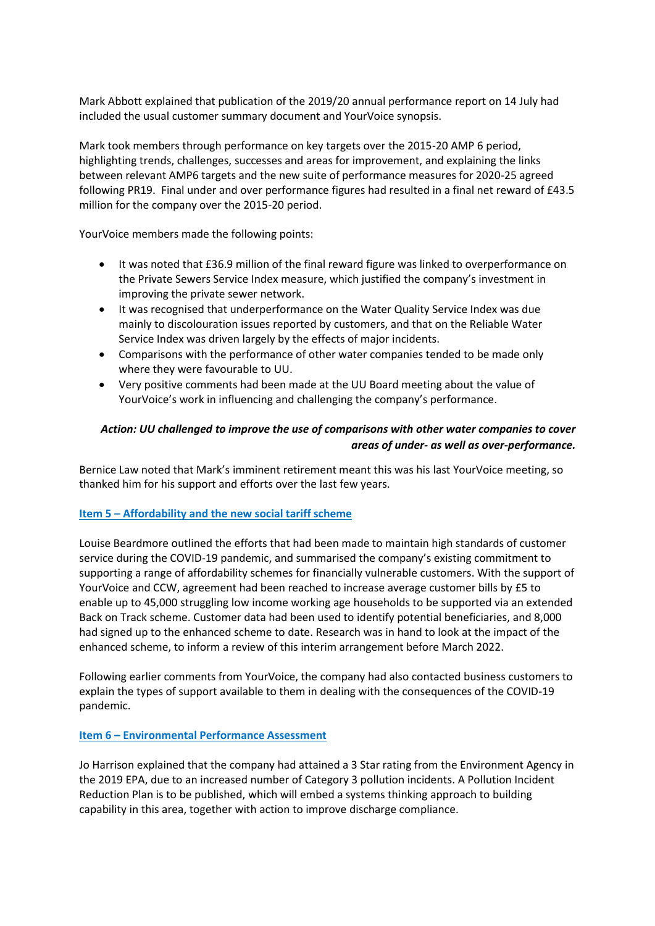Mark Abbott explained that publication of the 2019/20 annual performance report on 14 July had included the usual customer summary document and YourVoice synopsis.

Mark took members through performance on key targets over the 2015-20 AMP 6 period, highlighting trends, challenges, successes and areas for improvement, and explaining the links between relevant AMP6 targets and the new suite of performance measures for 2020-25 agreed following PR19. Final under and over performance figures had resulted in a final net reward of £43.5 million for the company over the 2015-20 period.

YourVoice members made the following points:

- It was noted that £36.9 million of the final reward figure was linked to overperformance on the Private Sewers Service Index measure, which justified the company's investment in improving the private sewer network.
- It was recognised that underperformance on the Water Quality Service Index was due mainly to discolouration issues reported by customers, and that on the Reliable Water Service Index was driven largely by the effects of major incidents.
- Comparisons with the performance of other water companies tended to be made only where they were favourable to UU.
- Very positive comments had been made at the UU Board meeting about the value of YourVoice's work in influencing and challenging the company's performance.

# *Action: UU challenged to improve the use of comparisons with other water companies to cover areas of under- as well as over-performance.*

Bernice Law noted that Mark's imminent retirement meant this was his last YourVoice meeting, so thanked him for his support and efforts over the last few years.

# **Item 5 – Affordability and the new social tariff scheme**

Louise Beardmore outlined the efforts that had been made to maintain high standards of customer service during the COVID-19 pandemic, and summarised the company's existing commitment to supporting a range of affordability schemes for financially vulnerable customers. With the support of YourVoice and CCW, agreement had been reached to increase average customer bills by £5 to enable up to 45,000 struggling low income working age households to be supported via an extended Back on Track scheme. Customer data had been used to identify potential beneficiaries, and 8,000 had signed up to the enhanced scheme to date. Research was in hand to look at the impact of the enhanced scheme, to inform a review of this interim arrangement before March 2022.

Following earlier comments from YourVoice, the company had also contacted business customers to explain the types of support available to them in dealing with the consequences of the COVID-19 pandemic.

# **Item 6 – Environmental Performance Assessment**

Jo Harrison explained that the company had attained a 3 Star rating from the Environment Agency in the 2019 EPA, due to an increased number of Category 3 pollution incidents. A Pollution Incident Reduction Plan is to be published, which will embed a systems thinking approach to building capability in this area, together with action to improve discharge compliance.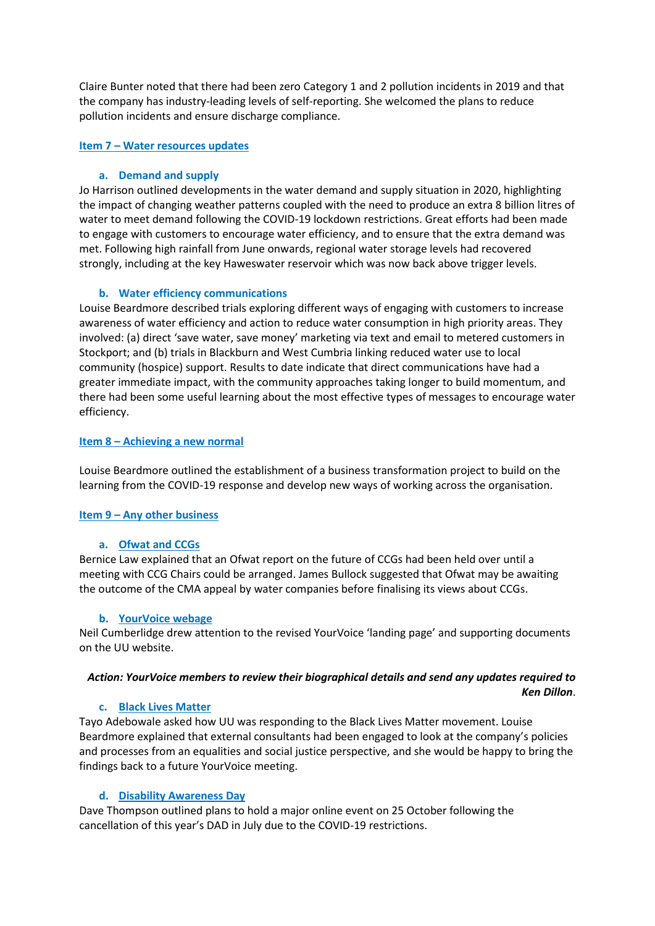Claire Bunter noted that there had been zero Category 1 and 2 pollution incidents in 2019 and that the company has industry-leading levels of self-reporting. She welcomed the plans to reduce pollution incidents and ensure discharge compliance.

## **Item 7 – Water resources updates**

## **a. Demand and supply**

Jo Harrison outlined developments in the water demand and supply situation in 2020, highlighting the impact of changing weather patterns coupled with the need to produce an extra 8 billion litres of water to meet demand following the COVID-19 lockdown restrictions. Great efforts had been made to engage with customers to encourage water efficiency, and to ensure that the extra demand was met. Following high rainfall from June onwards, regional water storage levels had recovered strongly, including at the key Haweswater reservoir which was now back above trigger levels.

#### **b. Water efficiency communications**

Louise Beardmore described trials exploring different ways of engaging with customers to increase awareness of water efficiency and action to reduce water consumption in high priority areas. They involved: (a) direct 'save water, save money' marketing via text and email to metered customers in Stockport; and (b) trials in Blackburn and West Cumbria linking reduced water use to local community (hospice) support. Results to date indicate that direct communications have had a greater immediate impact, with the community approaches taking longer to build momentum, and there had been some useful learning about the most effective types of messages to encourage water efficiency.

## **Item 8 – Achieving a new normal**

Louise Beardmore outlined the establishment of a business transformation project to build on the learning from the COVID-19 response and develop new ways of working across the organisation.

# **Item 9 – Any other business**

#### **a. Ofwat and CCGs**

Bernice Law explained that an Ofwat report on the future of CCGs had been held over until a meeting with CCG Chairs could be arranged. James Bullock suggested that Ofwat may be awaiting the outcome of the CMA appeal by water companies before finalising its views about CCGs.

#### **b. YourVoice webage**

Neil Cumberlidge drew attention to the revised YourVoice 'landing page' and supporting documents on the UU website.

# *Action: YourVoice members to review their biographical details and send any updates required to Ken Dillon*.

#### **c. Black Lives Matter**

Tayo Adebowale asked how UU was responding to the Black Lives Matter movement. Louise Beardmore explained that external consultants had been engaged to look at the company's policies and processes from an equalities and social justice perspective, and she would be happy to bring the findings back to a future YourVoice meeting.

# **d. Disability Awareness Day**

Dave Thompson outlined plans to hold a major online event on 25 October following the cancellation of this year's DAD in July due to the COVID-19 restrictions.